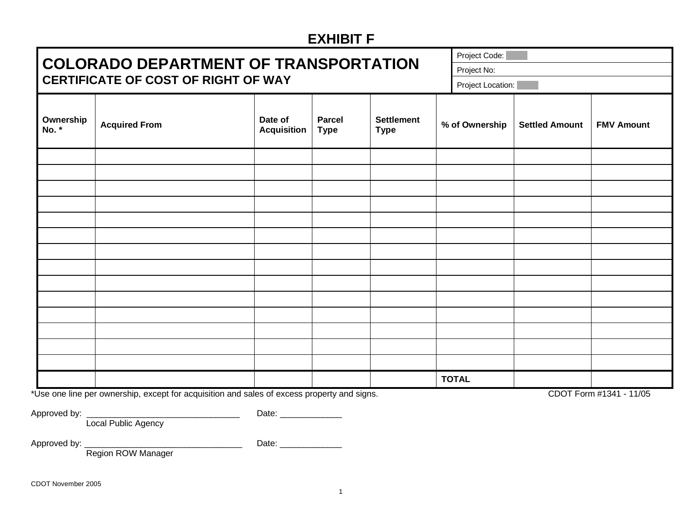## **EXHIBIT F**

|                                                                                     |                      |                               |                              |                                  |                | Project Code:     |                       |                   |  |
|-------------------------------------------------------------------------------------|----------------------|-------------------------------|------------------------------|----------------------------------|----------------|-------------------|-----------------------|-------------------|--|
| <b>COLORADO DEPARTMENT OF TRANSPORTATION</b><br>CERTIFICATE OF COST OF RIGHT OF WAY |                      |                               |                              |                                  |                | Project No:       |                       |                   |  |
|                                                                                     |                      |                               |                              |                                  |                | Project Location: |                       |                   |  |
| Ownership<br>No. *                                                                  | <b>Acquired From</b> | Date of<br><b>Acquisition</b> | <b>Parcel</b><br><b>Type</b> | <b>Settlement</b><br><b>Type</b> | % of Ownership |                   | <b>Settled Amount</b> | <b>FMV Amount</b> |  |
|                                                                                     |                      |                               |                              |                                  |                |                   |                       |                   |  |
|                                                                                     |                      |                               |                              |                                  |                |                   |                       |                   |  |
|                                                                                     |                      |                               |                              |                                  |                |                   |                       |                   |  |
|                                                                                     |                      |                               |                              |                                  |                |                   |                       |                   |  |
|                                                                                     |                      |                               |                              |                                  |                |                   |                       |                   |  |
|                                                                                     |                      |                               |                              |                                  |                |                   |                       |                   |  |
|                                                                                     |                      |                               |                              |                                  |                |                   |                       |                   |  |
|                                                                                     |                      |                               |                              |                                  |                |                   |                       |                   |  |
|                                                                                     |                      |                               |                              |                                  |                |                   |                       |                   |  |
|                                                                                     |                      |                               |                              |                                  |                |                   |                       |                   |  |
|                                                                                     |                      |                               |                              |                                  |                |                   |                       |                   |  |
|                                                                                     |                      |                               |                              |                                  |                |                   |                       |                   |  |
|                                                                                     |                      |                               |                              |                                  |                |                   |                       |                   |  |
|                                                                                     |                      |                               |                              |                                  |                |                   |                       |                   |  |
|                                                                                     |                      |                               |                              |                                  |                | <b>TOTAL</b>      |                       |                   |  |

\*Use one line per ownership, except for acquisition and sales of excess property and signs. CDOT Form #1341 - 11/05

Approved by: \_\_\_\_\_\_\_\_\_\_\_\_\_\_\_\_\_\_\_\_\_\_\_\_\_\_\_\_\_\_\_\_ Date: \_\_\_\_\_\_\_\_\_\_\_\_\_

Local Public Agency

Approved by: \_\_\_\_\_\_\_\_\_\_\_\_\_\_\_\_\_\_\_\_\_\_\_\_\_\_\_\_\_\_\_\_\_ Date: \_\_\_\_\_\_\_\_\_\_\_\_\_

Region ROW Manager

CDOT November 2005